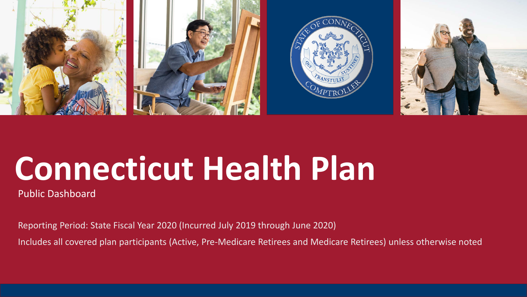

# **Connecticut Health Plan**

Public Dashboard

Reporting Period: State Fiscal Year 2020 (Incurred July 2019 through June 2020)

Includes all covered plan participants (Active, Pre-Medicare Retirees and Medicare Retirees) unless otherwise noted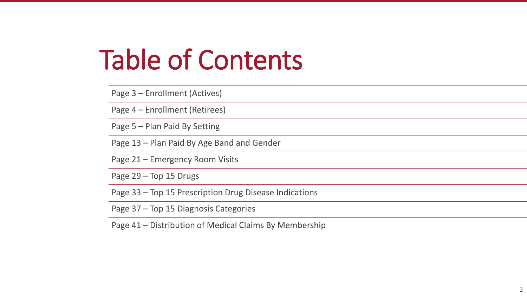# Table of Contents

Page 3 – Enrollment (Actives) Page 4 – Enrollment (Retirees) Page 5 – Plan Paid By Setting Page 13 – Plan Paid By Age Band and Gender Page 21 – Emergency Room Visits Page 29 – Top 15 Drugs Page 33 – Top 15 Prescription Drug Disease Indications Page 37 – Top 15 Diagnosis Categories

Page 41 – Distribution of Medical Claims By Membership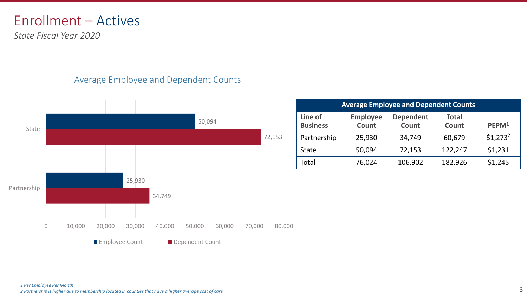#### Enrollment – Actives

*State Fiscal Year 2020*

#### Average Employee and Dependent Counts



| <b>Average Employee and Dependent Counts</b> |                          |                           |                              |                   |  |
|----------------------------------------------|--------------------------|---------------------------|------------------------------|-------------------|--|
| Line of<br><b>Business</b>                   | <b>Employee</b><br>Count | <b>Dependent</b><br>Count | <b>Total</b><br><b>Count</b> | PEPM <sup>1</sup> |  |
| Partnership                                  | 25,930                   | 34,749                    | 60,679                       | $$1,273^2$        |  |
| <b>State</b>                                 | 50,094                   | 72,153                    | 122,247                      | \$1,231           |  |
| Total                                        | 76,024                   | 106,902                   | 182,926                      | \$1,245           |  |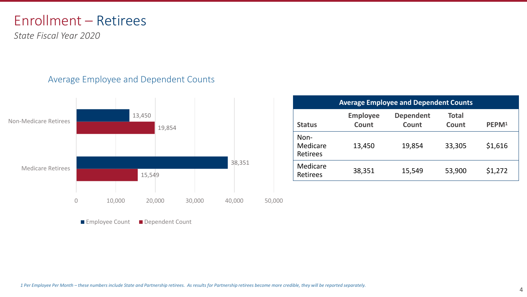#### Enrollment – Retirees

*State Fiscal Year 2020*

#### Average Employee and Dependent Counts



|        |        |        |                              |                          | <b>Average Employee and Dependent Counts</b> |                       |                   |
|--------|--------|--------|------------------------------|--------------------------|----------------------------------------------|-----------------------|-------------------|
| 450    | 19,854 |        | <b>Status</b>                | <b>Employee</b><br>Count | <b>Dependent</b><br>Count                    | <b>Total</b><br>Count | PEPM <sup>1</sup> |
|        |        |        | Non-<br>Medicare<br>Retirees | 13,450                   | 19,854                                       | 33,305                | \$1,616           |
| 15,549 |        | 38,351 | Medicare<br>Retirees         | 38,351                   | 15,549                                       | 53,900                | \$1,272           |

**Employee Count B** Dependent Count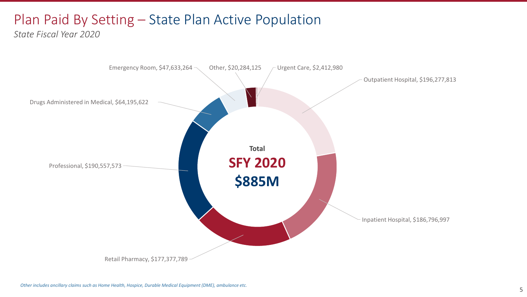### Plan Paid By Setting – State Plan Active Population

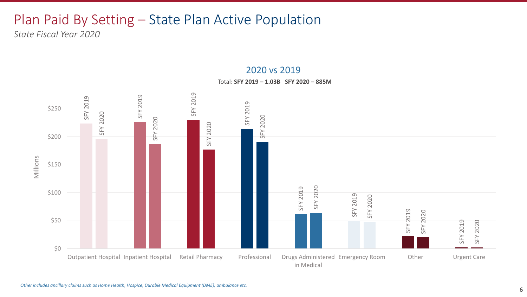### Plan Paid By Setting – State Plan Active Population

*State Fiscal Year 2020*



2020 vs 2019

Total: **SFY 2019 – 1.03B SFY 2020 – 885M**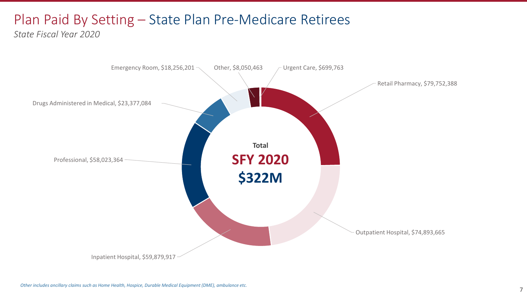### Plan Paid By Setting – State Plan Pre-Medicare Retirees

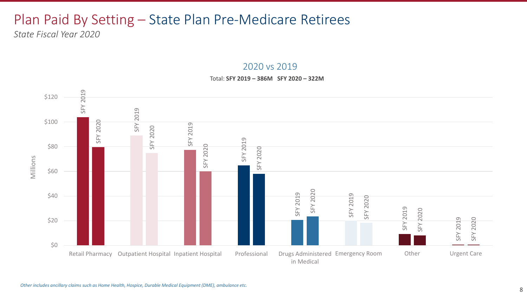### Plan Paid By Setting – State Plan Pre-Medicare Retirees

*State Fiscal Year 2020*

#### 2020 vs 2019

#### Total: **SFY 2019 – 386M SFY 2020 – 322M**

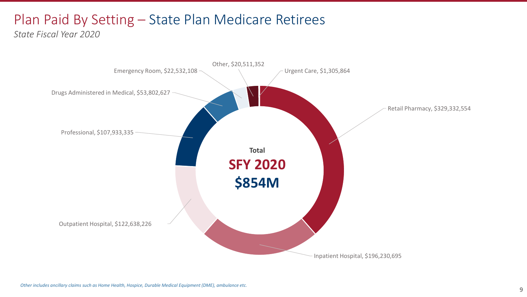### Plan Paid By Setting – State Plan Medicare Retirees

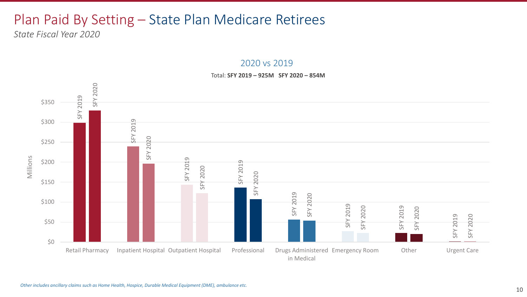#### Plan Paid By Setting – State Plan Medicare Retirees

*State Fiscal Year 2020*



2020 vs 2019

#### Total: **SFY 2019 – 925M SFY 2020 – 854M**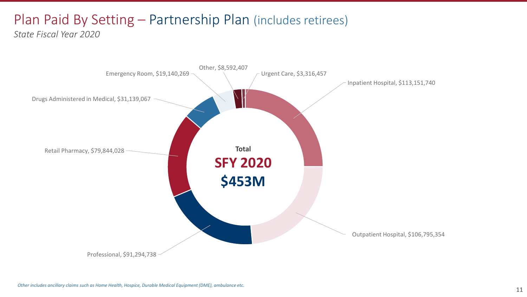# Plan Paid By Setting – Partnership Plan (includes retirees)

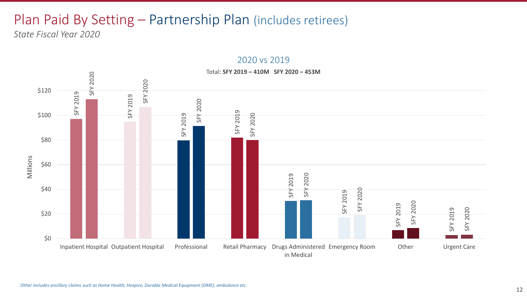#### Plan Paid By Setting – Partnership Plan (includes retirees) *State Fiscal Year 2020*

5120<br>  $\frac{9}{5}$ <br>  $\frac{25}{3}$ <br>  $\frac{25}{3}$ <br>  $\frac{25}{3}$ <br>  $\frac{25}{3}$ <br>  $\frac{25}{3}$ <br>  $\frac{25}{3}$ <br>  $\frac{25}{3}$ <br>  $\frac{25}{3}$ <br>  $\frac{25}{3}$ <br>  $\frac{25}{3}$ <br>  $\frac{25}{3}$ <br>  $\frac{25}{3}$ <br>  $\frac{25}{3}$ <br>  $\frac{25}{3}$ <br>  $\frac{25}{3}$ <br>  $\frac{25}{3}$ <br>  $\frac{25}{3}$ <br> \$0 \$20 \$40 \$60 \$80 \$100 \$120 Inpatient Hospital Outpatient Hospital Professional Retail Pharmacy in Medical Drugs Administered Emergency Room Other Urgent Care Millions Total: **SFY 2019 – 410M SFY 2020 – 453M**

#### 2020 vs 2019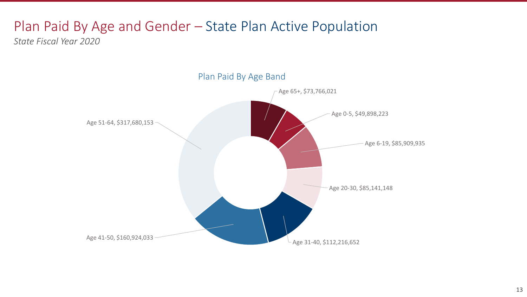### Plan Paid By Age and Gender – State Plan Active Population

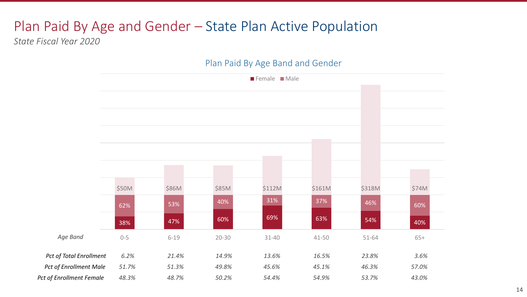#### Plan Paid By Age and Gender – State Plan Active Population

Plan Paid By Age Band and Gender

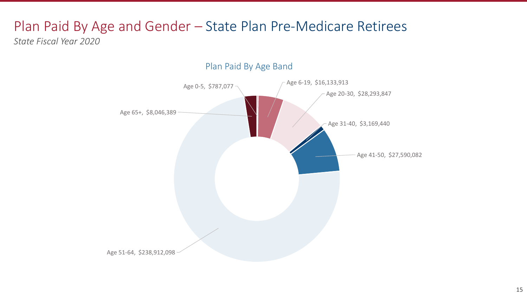# Plan Paid By Age and Gender – State Plan Pre-Medicare Retirees

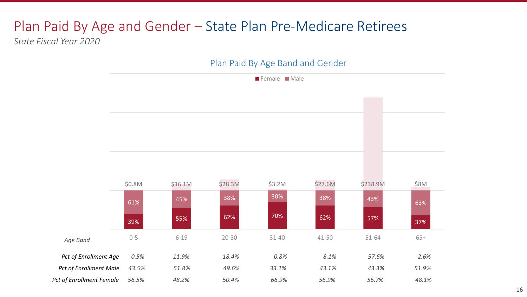### Plan Paid By Age and Gender – State Plan Pre-Medicare Retirees

*State Fiscal Year 2020*

#### Plan Paid By Age Band and Gender

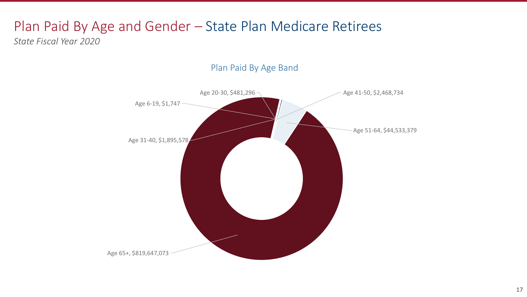### Plan Paid By Age and Gender – State Plan Medicare Retirees

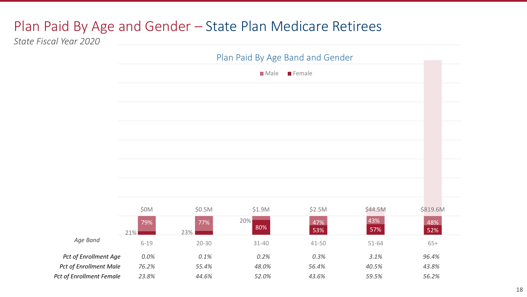#### Plan Paid By Age and Gender – State Plan Medicare Retirees

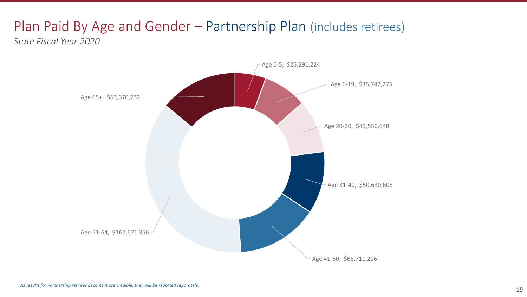#### Plan Paid By Age and Gender – Partnership Plan (includes retirees) *State Fiscal Year 2020*

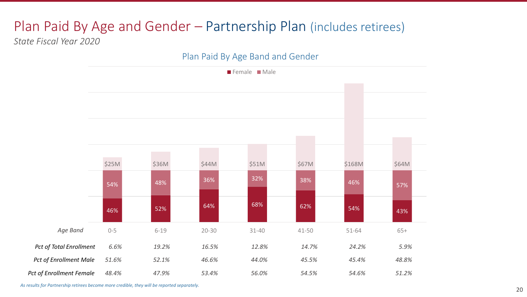### Plan Paid By Age and Gender – Partnership Plan (includes retirees)

*State Fiscal Year 2020*

#### Plan Paid By Age Band and Gender



*As results for Partnership retirees become more credible, they will be reported separately.*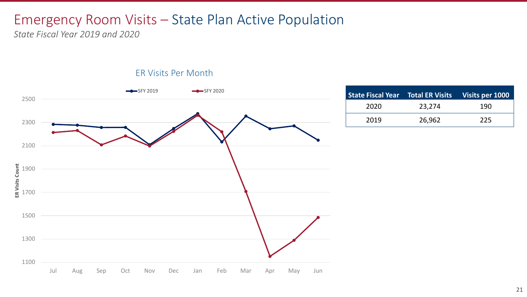#### Emergency Room Visits – State Plan Active Population

*State Fiscal Year 2019 and 2020*



|  | <b>ER Visits Per Month</b> |
|--|----------------------------|
|  |                            |

| State Fiscal Year Total ER Visits Visits per 1000 |        |     |
|---------------------------------------------------|--------|-----|
| 2020                                              | 23,274 | 190 |
| 2019                                              | 26,962 | 225 |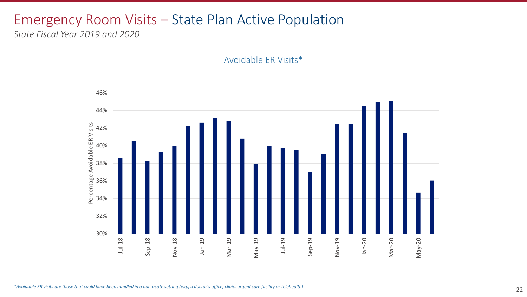#### Emergency Room Visits – State Plan Active Population

*State Fiscal Year 2019 and 2020*

Avoidable ER Visits\*

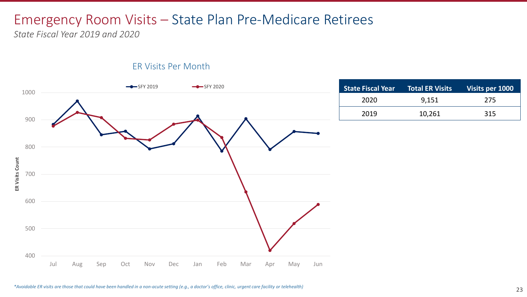### Emergency Room Visits – State Plan Pre-Medicare Retirees

*State Fiscal Year 2019 and 2020*



| <b>State Fiscal Year</b> | <b>Total ER Visits</b> | Visits per 1000 |
|--------------------------|------------------------|-----------------|
| 2020                     | 9,151                  | 275             |
| 2019                     | 10,261                 | 315             |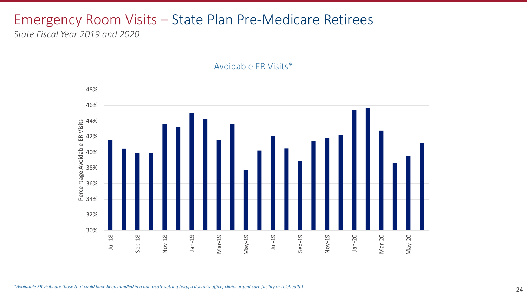### Emergency Room Visits – State Plan Pre-Medicare Retirees

*State Fiscal Year 2019 and 2020*

Avoidable ER Visits\*

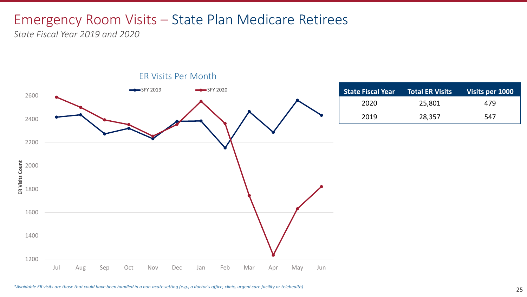#### Emergency Room Visits – State Plan Medicare Retirees

*State Fiscal Year 2019 and 2020*



*\*Avoidable ER visits are those that could have been handled in a non-acute setting (e.g., a doctor's office, clinic, urgent care facility or telehealth)*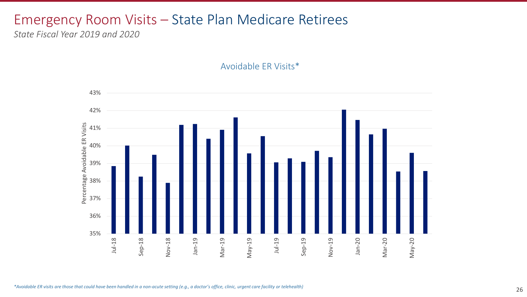#### Emergency Room Visits – State Plan Medicare Retirees

*State Fiscal Year 2019 and 2020*

Avoidable ER Visits\*

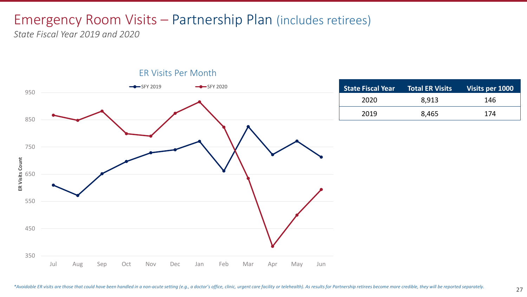# Emergency Room Visits – Partnership Plan (includes retirees)

*State Fiscal Year 2019 and 2020*



| <b>State Fiscal Year</b> | <b>Total ER Visits</b> | Visits per 1000 |
|--------------------------|------------------------|-----------------|
| 2020                     | 8,913                  | 146             |
| 2019                     | 8,465                  | 174             |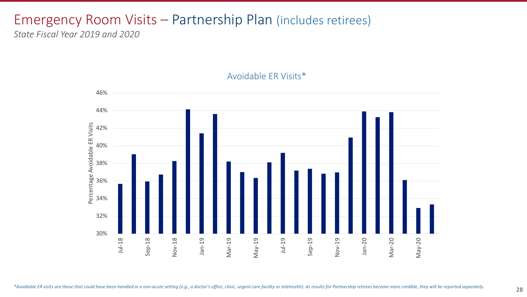# Emergency Room Visits – Partnership Plan (includes retirees)

*State Fiscal Year 2019 and 2020*



#### Avoidable ER Visits\*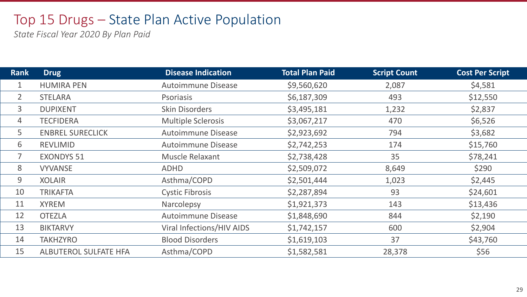#### Top 15 Drugs – State Plan Active Population

| <b>Rank</b>    | <b>Drug</b>             | <b>Disease Indication</b>        | <b>Total Plan Paid</b> | <b>Script Count</b> | <b>Cost Per Script</b> |
|----------------|-------------------------|----------------------------------|------------------------|---------------------|------------------------|
| $\mathbf{1}$   | <b>HUMIRA PEN</b>       | <b>Autoimmune Disease</b>        | \$9,560,620            | 2,087               | \$4,581                |
| $\overline{2}$ | <b>STELARA</b>          | <b>Psoriasis</b>                 | \$6,187,309            | 493                 | \$12,550               |
| 3              | <b>DUPIXENT</b>         | <b>Skin Disorders</b>            | \$3,495,181            | 1,232               | \$2,837                |
| 4              | <b>TECFIDERA</b>        | <b>Multiple Sclerosis</b>        | \$3,067,217            | 470                 | \$6,526                |
| 5              | <b>ENBREL SURECLICK</b> | <b>Autoimmune Disease</b>        | \$2,923,692            | 794                 | \$3,682                |
| 6              | <b>REVLIMID</b>         | <b>Autoimmune Disease</b>        | \$2,742,253            | 174                 | \$15,760               |
| $\overline{7}$ | <b>EXONDYS 51</b>       | Muscle Relaxant                  | \$2,738,428            | 35                  | \$78,241               |
| 8              | <b>VYVANSE</b>          | <b>ADHD</b>                      | \$2,509,072            | 8,649               | \$290                  |
| 9              | <b>XOLAIR</b>           | Asthma/COPD                      | \$2,501,444            | 1,023               | \$2,445                |
| 10             | <b>TRIKAFTA</b>         | <b>Cystic Fibrosis</b>           | \$2,287,894            | 93                  | \$24,601               |
| 11             | <b>XYREM</b>            | Narcolepsy                       | \$1,921,373            | 143                 | \$13,436               |
| 12             | <b>OTEZLA</b>           | <b>Autoimmune Disease</b>        | \$1,848,690            | 844                 | \$2,190                |
| 13             | <b>BIKTARVY</b>         | <b>Viral Infections/HIV AIDS</b> | \$1,742,157            | 600                 | \$2,904                |
| 14             | <b>TAKHZYRO</b>         | <b>Blood Disorders</b>           | \$1,619,103            | 37                  | \$43,760               |
| 15             | ALBUTEROL SULFATE HFA   | Asthma/COPD                      | \$1,582,581            | 28,378              | \$56                   |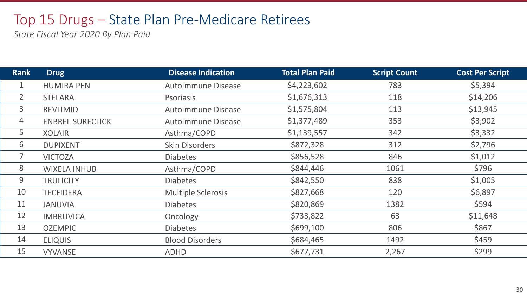#### Top 15 Drugs – State Plan Pre-Medicare Retirees

| Rank           | Drug                    | <b>Disease Indication</b> | <b>Total Plan Paid</b> | <b>Script Count</b> | <b>Cost Per Script</b> |
|----------------|-------------------------|---------------------------|------------------------|---------------------|------------------------|
| 1              | <b>HUMIRA PEN</b>       | <b>Autoimmune Disease</b> | \$4,223,602            | 783                 | \$5,394                |
| $\overline{2}$ | <b>STELARA</b>          | <b>Psoriasis</b>          | \$1,676,313            | 118                 | \$14,206               |
| $\overline{3}$ | <b>REVLIMID</b>         | <b>Autoimmune Disease</b> | \$1,575,804            | 113                 | \$13,945               |
| 4              | <b>ENBREL SURECLICK</b> | <b>Autoimmune Disease</b> | \$1,377,489            | 353                 | \$3,902                |
| 5              | <b>XOLAIR</b>           | Asthma/COPD               | \$1,139,557            | 342                 | \$3,332                |
| 6              | <b>DUPIXENT</b>         | <b>Skin Disorders</b>     | \$872,328              | 312                 | \$2,796                |
| 7              | <b>VICTOZA</b>          | <b>Diabetes</b>           | \$856,528              | 846                 | \$1,012                |
| 8              | <b>WIXELA INHUB</b>     | Asthma/COPD               | \$844,446              | 1061                | \$796                  |
| 9              | <b>TRULICITY</b>        | <b>Diabetes</b>           | \$842,550              | 838                 | \$1,005                |
| 10             | <b>TECFIDERA</b>        | <b>Multiple Sclerosis</b> | \$827,668              | 120                 | \$6,897                |
| 11             | <b>JANUVIA</b>          | <b>Diabetes</b>           | \$820,869              | 1382                | \$594                  |
| 12             | <b>IMBRUVICA</b>        | Oncology                  | \$733,822              | 63                  | \$11,648               |
| 13             | <b>OZEMPIC</b>          | <b>Diabetes</b>           | \$699,100              | 806                 | \$867                  |
| 14             | <b>ELIQUIS</b>          | <b>Blood Disorders</b>    | \$684,465              | 1492                | \$459                  |
| 15             | <b>VYVANSE</b>          | ADHD                      | \$677,731              | 2,267               | \$299                  |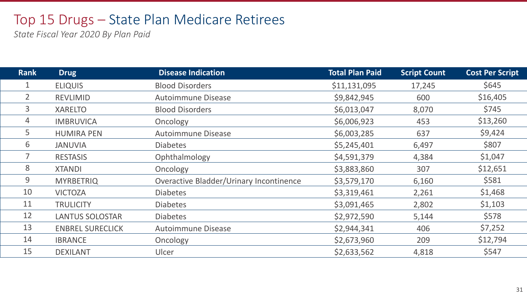#### Top 15 Drugs – State Plan Medicare Retirees

| <b>Rank</b>    | <b>Drug</b>             | <b>Disease Indication</b>               | <b>Total Plan Paid</b> | <b>Script Count</b> | <b>Cost Per Script</b> |
|----------------|-------------------------|-----------------------------------------|------------------------|---------------------|------------------------|
|                | <b>ELIQUIS</b>          | <b>Blood Disorders</b>                  | \$11,131,095           | 17,245              | \$645                  |
| $\overline{2}$ | <b>REVLIMID</b>         | <b>Autoimmune Disease</b>               | \$9,842,945            | 600                 | \$16,405               |
| 3              | <b>XARELTO</b>          | <b>Blood Disorders</b>                  | \$6,013,047            | 8,070               | \$745                  |
| 4              | <b>IMBRUVICA</b>        | Oncology                                | \$6,006,923            | 453                 | \$13,260               |
| 5              | <b>HUMIRA PEN</b>       | <b>Autoimmune Disease</b>               | \$6,003,285            | 637                 | \$9,424                |
| 6              | <b>AIVUNAL</b>          | <b>Diabetes</b>                         | \$5,245,401            | 6,497               | \$807                  |
| 7              | <b>RESTASIS</b>         | Ophthalmology                           | \$4,591,379            | 4,384               | \$1,047                |
| 8              | <b>XTANDI</b>           | Oncology                                | \$3,883,860            | 307                 | \$12,651               |
| 9              | <b>MYRBETRIQ</b>        | Overactive Bladder/Urinary Incontinence | \$3,579,170            | 6,160               | \$581                  |
| 10             | <b>VICTOZA</b>          | <b>Diabetes</b>                         | \$3,319,461            | 2,261               | \$1,468                |
| 11             | <b>TRULICITY</b>        | <b>Diabetes</b>                         | \$3,091,465            | 2,802               | \$1,103                |
| 12             | <b>LANTUS SOLOSTAR</b>  | <b>Diabetes</b>                         | \$2,972,590            | 5,144               | \$578                  |
| 13             | <b>ENBREL SURECLICK</b> | <b>Autoimmune Disease</b>               | \$2,944,341            | 406                 | \$7,252                |
| 14             | <b>IBRANCE</b>          | Oncology                                | \$2,673,960            | 209                 | \$12,794               |
| 15             | <b>DEXILANT</b>         | <b>Ulcer</b>                            | \$2,633,562            | 4,818               | \$547                  |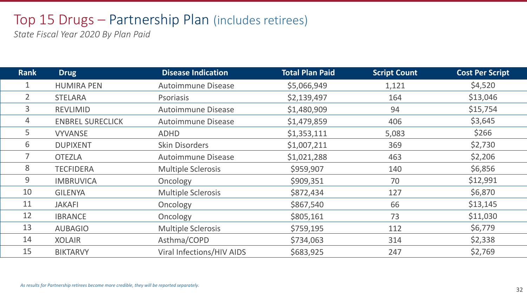#### Top 15 Drugs – Partnership Plan (includes retirees)

| <b>Rank</b>    | <b>Drug</b>             | <b>Disease Indication</b>        | <b>Total Plan Paid</b> | <b>Script Count</b> | <b>Cost Per Script</b> |
|----------------|-------------------------|----------------------------------|------------------------|---------------------|------------------------|
|                | <b>HUMIRA PEN</b>       | <b>Autoimmune Disease</b>        | \$5,066,949            | 1,121               | \$4,520                |
| $\overline{2}$ | <b>STELARA</b>          | <b>Psoriasis</b>                 | \$2,139,497            | 164                 | \$13,046               |
| 3              | <b>REVLIMID</b>         | <b>Autoimmune Disease</b>        | \$1,480,909            | 94                  | \$15,754               |
| 4              | <b>ENBREL SURECLICK</b> | <b>Autoimmune Disease</b>        | \$1,479,859            | 406                 | \$3,645                |
| 5              | <b>VYVANSE</b>          | ADHD                             | \$1,353,111            | 5,083               | \$266                  |
| 6              | <b>DUPIXENT</b>         | <b>Skin Disorders</b>            | \$1,007,211            | 369                 | \$2,730                |
| 7              | <b>OTEZLA</b>           | <b>Autoimmune Disease</b>        | \$1,021,288            | 463                 | \$2,206                |
| 8              | <b>TECFIDERA</b>        | <b>Multiple Sclerosis</b>        | \$959,907              | 140                 | \$6,856                |
| 9              | <b>IMBRUVICA</b>        | Oncology                         | \$909,351              | 70                  | \$12,991               |
| 10             | <b>GILENYA</b>          | <b>Multiple Sclerosis</b>        | \$872,434              | 127                 | \$6,870                |
| 11             | <b>JAKAFI</b>           | Oncology                         | \$867,540              | 66                  | \$13,145               |
| 12             | <b>IBRANCE</b>          | Oncology                         | \$805,161              | 73                  | \$11,030               |
| 13             | <b>AUBAGIO</b>          | <b>Multiple Sclerosis</b>        | \$759,195              | 112                 | \$6,779                |
| 14             | <b>XOLAIR</b>           | Asthma/COPD                      | \$734,063              | 314                 | \$2,338                |
| 15             | <b>BIKTARVY</b>         | <b>Viral Infections/HIV AIDS</b> | \$683,925              | 247                 | \$2,769                |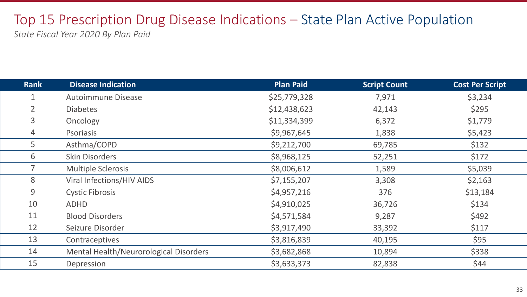# Top 15 Prescription Drug Disease Indications – State Plan Active Population

| <b>Rank</b>    | <b>Disease Indication</b>              | <b>Plan Paid</b> | <b>Script Count</b> | <b>Cost Per Script</b> |
|----------------|----------------------------------------|------------------|---------------------|------------------------|
|                | <b>Autoimmune Disease</b>              | \$25,779,328     | 7,971               | \$3,234                |
| $\overline{2}$ | <b>Diabetes</b>                        | \$12,438,623     | 42,143              | \$295                  |
| 3              | Oncology                               | \$11,334,399     | 6,372               | \$1,779                |
| $\overline{4}$ | Psoriasis                              | \$9,967,645      | 1,838               | \$5,423                |
| 5              | Asthma/COPD                            | \$9,212,700      | 69,785              | \$132                  |
| 6              | <b>Skin Disorders</b>                  | \$8,968,125      | 52,251              | \$172                  |
| $\overline{7}$ | <b>Multiple Sclerosis</b>              | \$8,006,612      | 1,589               | \$5,039                |
| 8              | <b>Viral Infections/HIV AIDS</b>       | \$7,155,207      | 3,308               | \$2,163                |
| 9              | <b>Cystic Fibrosis</b>                 | \$4,957,216      | 376                 | \$13,184               |
| 10             | <b>ADHD</b>                            | \$4,910,025      | 36,726              | \$134                  |
| 11             | <b>Blood Disorders</b>                 | \$4,571,584      | 9,287               | \$492                  |
| 12             | Seizure Disorder                       | \$3,917,490      | 33,392              | \$117                  |
| 13             | Contraceptives                         | \$3,816,839      | 40,195              | \$95                   |
| 14             | Mental Health/Neurorological Disorders | \$3,682,868      | 10,894              | \$338                  |
| 15             | <b>Depression</b>                      | \$3,633,373      | 82,838              | \$44                   |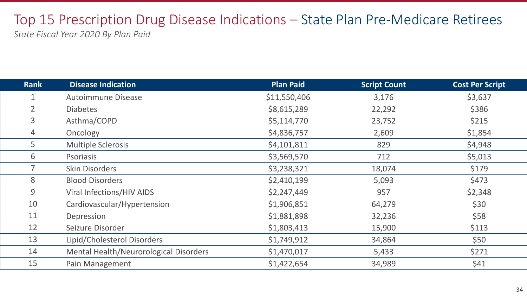# Top 15 Prescription Drug Disease Indications – State Plan Pre-Medicare Retirees

| <b>Rank</b>    | <b>Disease Indication</b>              | <b>Plan Paid</b> | <b>Script Count</b> | <b>Cost Per Script</b> |
|----------------|----------------------------------------|------------------|---------------------|------------------------|
|                | <b>Autoimmune Disease</b>              | \$11,550,406     | 3,176               | \$3,637                |
| $\overline{2}$ | <b>Diabetes</b>                        | \$8,615,289      | 22,292              | \$386                  |
| $\mathbf{3}$   | Asthma/COPD                            | \$5,114,770      | 23,752              | \$215                  |
| $\overline{4}$ | Oncology                               | \$4,836,757      | 2,609               | \$1,854                |
| 5              | <b>Multiple Sclerosis</b>              | \$4,101,811      | 829                 | \$4,948                |
| 6              | <b>Psoriasis</b>                       | \$3,569,570      | 712                 | \$5,013                |
|                | <b>Skin Disorders</b>                  | \$3,238,321      | 18,074              | \$179                  |
| 8              | <b>Blood Disorders</b>                 | \$2,410,199      | 5,093               | \$473                  |
| 9              | Viral Infections/HIV AIDS              | \$2,247,449      | 957                 | \$2,348                |
| 10             | Cardiovascular/Hypertension            | \$1,906,851      | 64,279              | \$30                   |
| 11             | Depression                             | \$1,881,898      | 32,236              | \$58                   |
| 12             | Seizure Disorder                       | \$1,803,413      | 15,900              | \$113                  |
| 13             | Lipid/Cholesterol Disorders            | \$1,749,912      | 34,864              | \$50                   |
| 14             | Mental Health/Neurorological Disorders | \$1,470,017      | 5,433               | \$271                  |
| 15             | Pain Management                        | \$1,422,654      | 34,989              | \$41                   |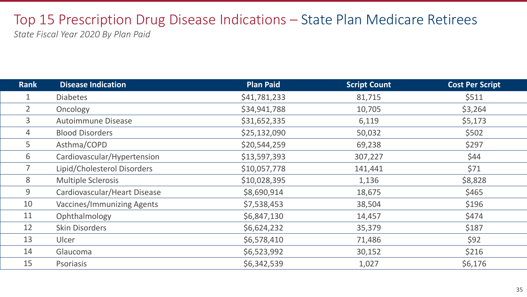# Top 15 Prescription Drug Disease Indications – State Plan Medicare Retirees

| <b>Rank</b>    | <b>Disease Indication</b>         | <b>Plan Paid</b> | <b>Script Count</b> | <b>Cost Per Script</b> |
|----------------|-----------------------------------|------------------|---------------------|------------------------|
|                | <b>Diabetes</b>                   | \$41,781,233     | 81,715              | \$511                  |
| $\overline{2}$ | Oncology                          | \$34,941,788     | 10,705              | \$3,264                |
| 3              | <b>Autoimmune Disease</b>         | \$31,652,335     | 6,119               | \$5,173                |
| 4              | <b>Blood Disorders</b>            | \$25,132,090     | 50,032              | \$502                  |
| 5              | Asthma/COPD                       | \$20,544,259     | 69,238              | \$297                  |
| 6              | Cardiovascular/Hypertension       | \$13,597,393     | 307,227             | \$44                   |
|                | Lipid/Cholesterol Disorders       | \$10,057,778     | 141,441             | \$71                   |
| 8              | <b>Multiple Sclerosis</b>         | \$10,028,395     | 1,136               | \$8,828                |
| 9              | Cardiovascular/Heart Disease      | \$8,690,914      | 18,675              | \$465                  |
| 10             | <b>Vaccines/Immunizing Agents</b> | \$7,538,453      | 38,504              | \$196                  |
| 11             | Ophthalmology                     | \$6,847,130      | 14,457              | \$474                  |
| 12             | <b>Skin Disorders</b>             | \$6,624,232      | 35,379              | \$187                  |
| 13             | Ulcer                             | \$6,578,410      | 71,486              | \$92                   |
| 14             | Glaucoma                          | \$6,523,992      | 30,152              | \$216                  |
| 15             | <b>Psoriasis</b>                  | \$6,342,539      | 1,027               | \$6,176                |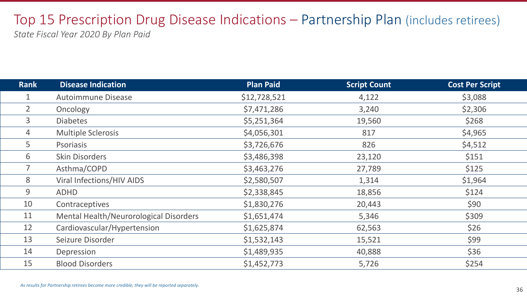# Top 15 Prescription Drug Disease Indications – Partnership Plan (includes retirees)

| <b>Rank</b>    | <b>Disease Indication</b>              | <b>Plan Paid</b> | <b>Script Count</b> | <b>Cost Per Script</b> |
|----------------|----------------------------------------|------------------|---------------------|------------------------|
|                | <b>Autoimmune Disease</b>              | \$12,728,521     | 4,122               | \$3,088                |
| $\overline{2}$ | Oncology                               | \$7,471,286      | 3,240               | \$2,306                |
| 3              | <b>Diabetes</b>                        | \$5,251,364      | 19,560              | \$268                  |
| 4              | <b>Multiple Sclerosis</b>              | \$4,056,301      | 817                 | \$4,965                |
| 5              | <b>Psoriasis</b>                       | \$3,726,676      | 826                 | \$4,512                |
| 6              | <b>Skin Disorders</b>                  | \$3,486,398      | 23,120              | \$151                  |
|                | Asthma/COPD                            | \$3,463,276      | 27,789              | \$125                  |
| 8              | <b>Viral Infections/HIV AIDS</b>       | \$2,580,507      | 1,314               | \$1,964                |
| 9              | <b>ADHD</b>                            | \$2,338,845      | 18,856              | \$124                  |
| 10             | Contraceptives                         | \$1,830,276      | 20,443              | \$90                   |
| 11             | Mental Health/Neurorological Disorders | \$1,651,474      | 5,346               | \$309                  |
| 12             | Cardiovascular/Hypertension            | \$1,625,874      | 62,563              | \$26                   |
| 13             | Seizure Disorder                       | \$1,532,143      | 15,521              | \$99                   |
| 14             | Depression                             | \$1,489,935      | 40,888              | \$36                   |
| 15             | <b>Blood Disorders</b>                 | \$1,452,773      | 5,726               | \$254                  |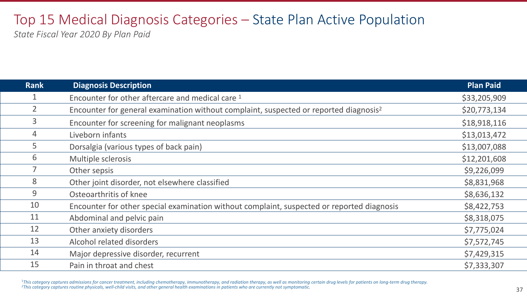# Top 15 Medical Diagnosis Categories – State Plan Active Population

*State Fiscal Year 2020 By Plan Paid*

| <b>Rank</b>    | <b>Diagnosis Description</b>                                                                      | <b>Plan Paid</b> |
|----------------|---------------------------------------------------------------------------------------------------|------------------|
|                | Encounter for other aftercare and medical care 1                                                  | \$33,205,909     |
| $\overline{2}$ | Encounter for general examination without complaint, suspected or reported diagnosis <sup>2</sup> | \$20,773,134     |
| $\mathbf{3}$   | Encounter for screening for malignant neoplasms                                                   | \$18,918,116     |
| 4              | Liveborn infants                                                                                  | \$13,013,472     |
| 5              | Dorsalgia (various types of back pain)                                                            | \$13,007,088     |
| 6              | Multiple sclerosis                                                                                | \$12,201,608     |
| $\overline{7}$ | Other sepsis                                                                                      | \$9,226,099      |
| 8              | Other joint disorder, not elsewhere classified                                                    | \$8,831,968      |
| 9              | Osteoarthritis of knee                                                                            | \$8,636,132      |
| 10             | Encounter for other special examination without complaint, suspected or reported diagnosis        | \$8,422,753      |
| 11             | Abdominal and pelvic pain                                                                         | \$8,318,075      |
| 12             | Other anxiety disorders                                                                           | \$7,775,024      |
| 13             | Alcohol related disorders                                                                         | \$7,572,745      |
| 14             | Major depressive disorder, recurrent                                                              | \$7,429,315      |
| 15             | Pain in throat and chest                                                                          | \$7,333,307      |

<sup>1</sup>This category captures admissions for cancer treatment, including chemotherapy, immunotherapy, and radiation therapy, as well as monitoring certain drug levels for patients on long-term drug therapy.<br><sup>2</sup>This category ca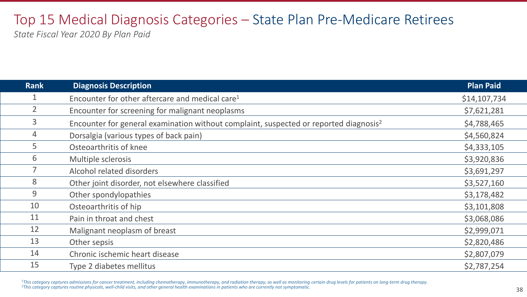# Top 15 Medical Diagnosis Categories – State Plan Pre-Medicare Retirees

*State Fiscal Year 2020 By Plan Paid*

| <b>Rank</b>    | <b>Diagnosis Description</b>                                                                      | <b>Plan Paid</b> |
|----------------|---------------------------------------------------------------------------------------------------|------------------|
|                | Encounter for other aftercare and medical care <sup>1</sup>                                       | \$14,107,734     |
| $\overline{2}$ | Encounter for screening for malignant neoplasms                                                   | \$7,621,281      |
| 3              | Encounter for general examination without complaint, suspected or reported diagnosis <sup>2</sup> | \$4,788,465      |
| $\overline{4}$ | Dorsalgia (various types of back pain)                                                            | \$4,560,824      |
| 5              | Osteoarthritis of knee                                                                            | \$4,333,105      |
| 6              | Multiple sclerosis                                                                                | \$3,920,836      |
|                | Alcohol related disorders                                                                         | \$3,691,297      |
| 8              | Other joint disorder, not elsewhere classified                                                    | \$3,527,160      |
| 9              | Other spondylopathies                                                                             | \$3,178,482      |
| 10             | Osteoarthritis of hip                                                                             | \$3,101,808      |
| 11             | Pain in throat and chest                                                                          | \$3,068,086      |
| 12             | Malignant neoplasm of breast                                                                      | \$2,999,071      |
| 13             | Other sepsis                                                                                      | \$2,820,486      |
| 14             | Chronic ischemic heart disease                                                                    | \$2,807,079      |
| 15             | Type 2 diabetes mellitus                                                                          | \$2,787,254      |
|                |                                                                                                   |                  |

<sup>1</sup>This category captures admissions for cancer treatment, including chemotherapy, immunotherapy, and radiation therapy, as well as monitoring certain drug levels for patients on long-term drug therapy.<br><sup>2</sup>This category ca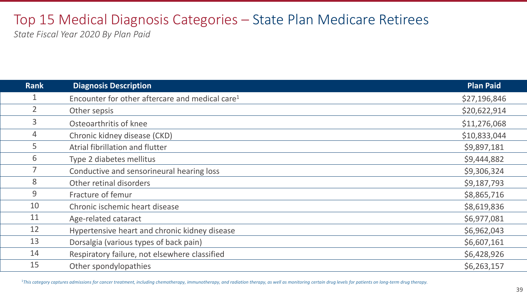## Top 15 Medical Diagnosis Categories – State Plan Medicare Retirees

*State Fiscal Year 2020 By Plan Paid*

| <b>Rank</b>    | <b>Diagnosis Description</b>                                | Plan Paid    |
|----------------|-------------------------------------------------------------|--------------|
|                | Encounter for other aftercare and medical care <sup>1</sup> | \$27,196,846 |
| 2 <sup>1</sup> | Other sepsis                                                | \$20,622,914 |
| $\overline{3}$ | Osteoarthritis of knee                                      | \$11,276,068 |
| $\overline{4}$ | Chronic kidney disease (CKD)                                | \$10,833,044 |
| 5              | Atrial fibrillation and flutter                             | \$9,897,181  |
| 6              | Type 2 diabetes mellitus                                    | \$9,444,882  |
|                | Conductive and sensorineural hearing loss                   | \$9,306,324  |
| 8              | Other retinal disorders                                     | \$9,187,793  |
| 9              | Fracture of femur                                           | \$8,865,716  |
| 10             | Chronic ischemic heart disease                              | \$8,619,836  |
| 11             | Age-related cataract                                        | \$6,977,081  |
| 12             | Hypertensive heart and chronic kidney disease               | \$6,962,043  |
| 13             | Dorsalgia (various types of back pain)                      | \$6,607,161  |
| 14             | Respiratory failure, not elsewhere classified               | \$6,428,926  |
| 15             | Other spondylopathies                                       | \$6,263,157  |

<sup>1</sup>This category captures admissions for cancer treatment, including chemotherapy, immunotherapy, and radiation therapy, as well as monitoring certain drug levels for patients on long-term drug therapy.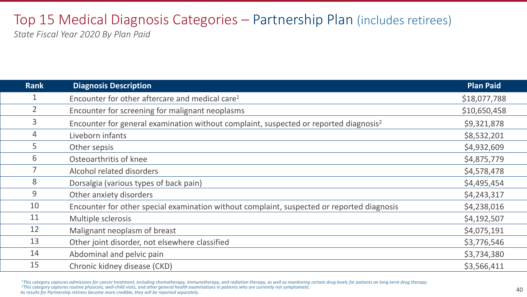#### Top 15 Medical Diagnosis Categories – Partnership Plan (includes retirees) *State Fiscal Year 2020 By Plan Paid*

| <b>Rank</b>    | <b>Diagnosis Description</b>                                                                      | <b>Plan Paid</b> |
|----------------|---------------------------------------------------------------------------------------------------|------------------|
|                | Encounter for other aftercare and medical care <sup>1</sup>                                       | \$18,077,788     |
| $\overline{2}$ | Encounter for screening for malignant neoplasms                                                   | \$10,650,458     |
| 3              | Encounter for general examination without complaint, suspected or reported diagnosis <sup>2</sup> | \$9,321,878      |
| 4              | Liveborn infants                                                                                  | \$8,532,201      |
| 5              | Other sepsis                                                                                      | \$4,932,609      |
| 6              | Osteoarthritis of knee                                                                            | \$4,875,779      |
|                | Alcohol related disorders                                                                         | \$4,578,478      |
| 8              | Dorsalgia (various types of back pain)                                                            | \$4,495,454      |
| 9              | Other anxiety disorders                                                                           | \$4,243,317      |
| 10             | Encounter for other special examination without complaint, suspected or reported diagnosis        | \$4,238,016      |
| 11             | Multiple sclerosis                                                                                | \$4,192,507      |
| 12             | Malignant neoplasm of breast                                                                      | \$4,075,191      |
| 13             | Other joint disorder, not elsewhere classified                                                    | \$3,776,546      |
| 14             | Abdominal and pelvic pain                                                                         | \$3,734,380      |
| 15             | Chronic kidney disease (CKD)                                                                      | \$3,566,411      |

<sup>1</sup>This category captures admissions for cancer treatment, including chemotherapy, immunotherapy, and radiation therapy, as well as monitoring certain drug levels for patients on long-term drug therapy.<br><sup>2</sup>This category ca

*As results for Partnership retirees become more credible, they will be reported separately.*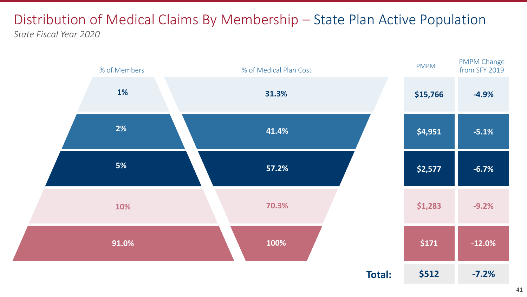#### Distribution of Medical Claims By Membership – State Plan Active Population *State Fiscal Year 2020*

![](_page_40_Figure_1.jpeg)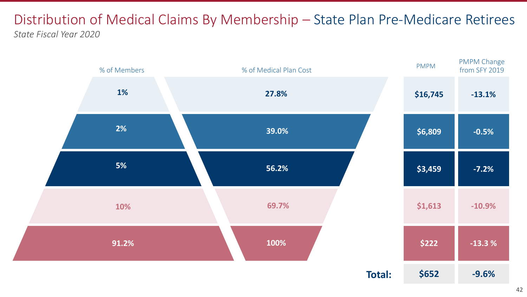#### Distribution of Medical Claims By Membership – State Plan Pre-Medicare Retirees *State Fiscal Year 2020*

![](_page_41_Figure_1.jpeg)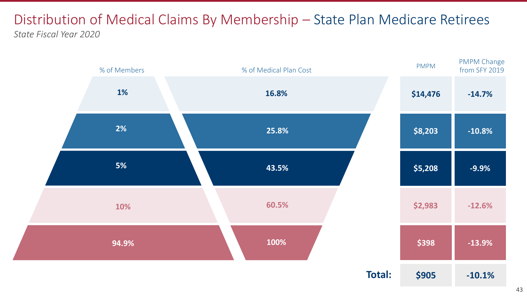#### Distribution of Medical Claims By Membership – State Plan Medicare Retirees *State Fiscal Year 2020*

![](_page_42_Figure_1.jpeg)